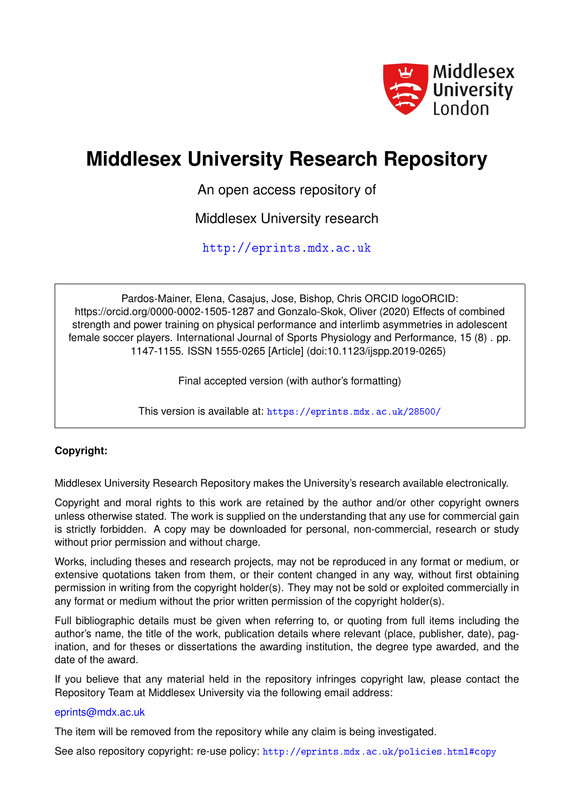

# **Middlesex University Research Repository**

An open access repository of

Middlesex University research

<http://eprints.mdx.ac.uk>

Pardos-Mainer, Elena, Casajus, Jose, Bishop, Chris ORCID logoORCID: https://orcid.org/0000-0002-1505-1287 and Gonzalo-Skok, Oliver (2020) Effects of combined strength and power training on physical performance and interlimb asymmetries in adolescent female soccer players. International Journal of Sports Physiology and Performance, 15 (8) . pp. 1147-1155. ISSN 1555-0265 [Article] (doi:10.1123/ijspp.2019-0265)

Final accepted version (with author's formatting)

This version is available at: <https://eprints.mdx.ac.uk/28500/>

# **Copyright:**

Middlesex University Research Repository makes the University's research available electronically.

Copyright and moral rights to this work are retained by the author and/or other copyright owners unless otherwise stated. The work is supplied on the understanding that any use for commercial gain is strictly forbidden. A copy may be downloaded for personal, non-commercial, research or study without prior permission and without charge.

Works, including theses and research projects, may not be reproduced in any format or medium, or extensive quotations taken from them, or their content changed in any way, without first obtaining permission in writing from the copyright holder(s). They may not be sold or exploited commercially in any format or medium without the prior written permission of the copyright holder(s).

Full bibliographic details must be given when referring to, or quoting from full items including the author's name, the title of the work, publication details where relevant (place, publisher, date), pagination, and for theses or dissertations the awarding institution, the degree type awarded, and the date of the award.

If you believe that any material held in the repository infringes copyright law, please contact the Repository Team at Middlesex University via the following email address:

## [eprints@mdx.ac.uk](mailto:eprints@mdx.ac.uk)

The item will be removed from the repository while any claim is being investigated.

See also repository copyright: re-use policy: <http://eprints.mdx.ac.uk/policies.html#copy>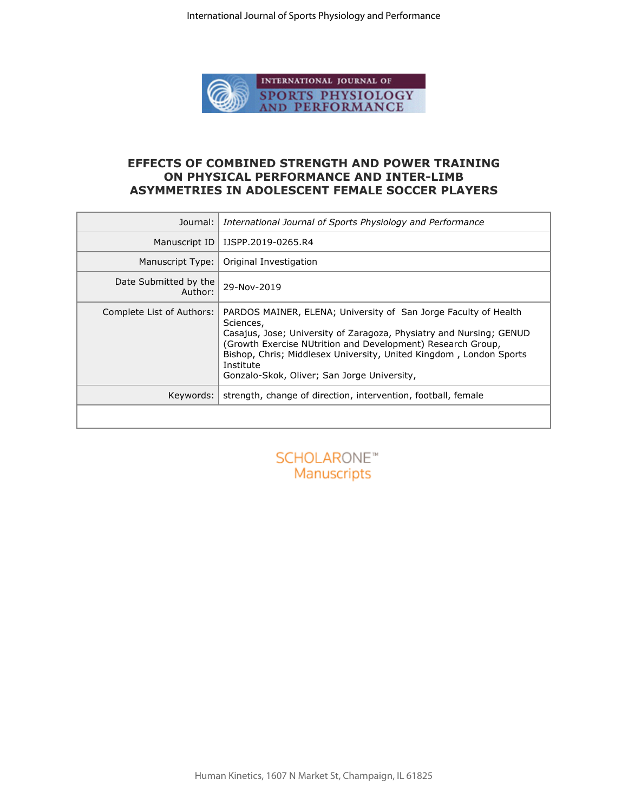

## **EFFECTS OF COMBINED STRENGTH AND POWER TRAINING ON PHYSICAL PERFORMANCE AND INTER-LIMB ASYMMETRIES IN ADOLESCENT FEMALE SOCCER PLAYERS**

| Journal:                         | International Journal of Sports Physiology and Performance                                                                                                                                                                                                                                                                                           |
|----------------------------------|------------------------------------------------------------------------------------------------------------------------------------------------------------------------------------------------------------------------------------------------------------------------------------------------------------------------------------------------------|
| Manuscript ID                    | IJSPP.2019-0265.R4                                                                                                                                                                                                                                                                                                                                   |
| Manuscript Type:                 | Original Investigation                                                                                                                                                                                                                                                                                                                               |
| Date Submitted by the<br>Author: | 29-Nov-2019                                                                                                                                                                                                                                                                                                                                          |
| Complete List of Authors:        | PARDOS MAINER, ELENA; University of San Jorge Faculty of Health<br>Sciences,<br>Casajus, Jose; University of Zaragoza, Physiatry and Nursing; GENUD<br>(Growth Exercise NUtrition and Development) Research Group,<br>Bishop, Chris; Middlesex University, United Kingdom, London Sports<br>Institute<br>Gonzalo-Skok, Oliver; San Jorge University, |
| Keywords:                        | strength, change of direction, intervention, football, female                                                                                                                                                                                                                                                                                        |
|                                  |                                                                                                                                                                                                                                                                                                                                                      |
|                                  | SCHOLARONE <sup>*</sup><br>Manuscripts                                                                                                                                                                                                                                                                                                               |

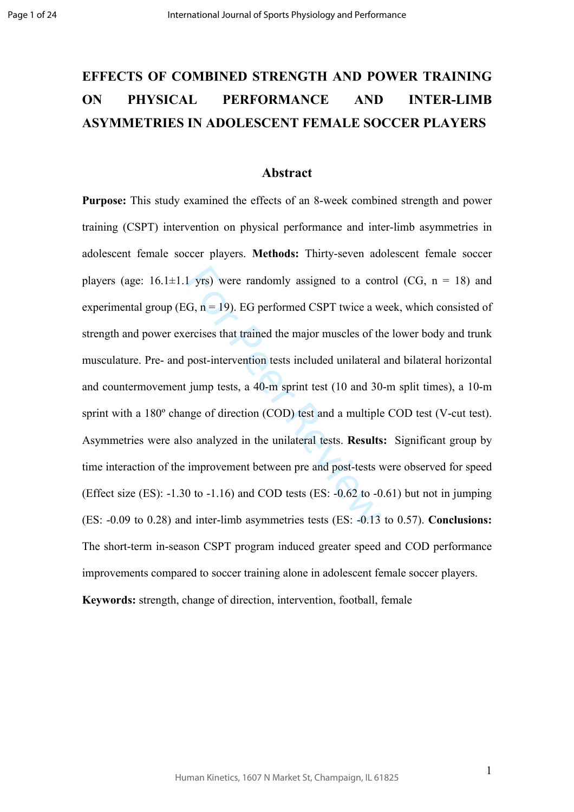# **EFFECTS OF COMBINED STRENGTH AND POWER TRAINING ON PHYSICAL PERFORMANCE AND INTER-LIMB ASYMMETRIES IN ADOLESCENT FEMALE SOCCER PLAYERS**

#### **Abstract**

1 yrs) were randomly assigned to a con<br>G,  $n = 19$ ). EG performed CSPT twice a w<br>ercises that trained the major muscles of th<br>post-intervention tests included unilateral<br>jump tests, a 40-m sprint test (10 and 30<br>nge of dir **Purpose:** This study examined the effects of an 8-week combined strength and power training (CSPT) intervention on physical performance and inter-limb asymmetries in adolescent female soccer players. **Methods:** Thirty-seven adolescent female soccer players (age:  $16.1 \pm 1.1$  yrs) were randomly assigned to a control (CG,  $n = 18$ ) and experimental group (EG,  $n = 19$ ). EG performed CSPT twice a week, which consisted of strength and power exercises that trained the major muscles of the lower body and trunk musculature. Pre- and post-intervention tests included unilateral and bilateral horizontal and countermovement jump tests, a 40-m sprint test (10 and 30-m split times), a 10-m sprint with a 180º change of direction (COD) test and a multiple COD test (V-cut test). Asymmetries were also analyzed in the unilateral tests. **Results:** Significant group by time interaction of the improvement between pre and post-tests were observed for speed (Effect size (ES):  $-1.30$  to  $-1.16$ ) and COD tests (ES:  $-0.62$  to  $-0.61$ ) but not in jumping (ES: -0.09 to 0.28) and inter-limb asymmetries tests (ES: -0.13 to 0.57). **Conclusions:** The short-term in-season CSPT program induced greater speed and COD performance improvements compared to soccer training alone in adolescent female soccer players. **Keywords:** strength, change of direction, intervention, football, female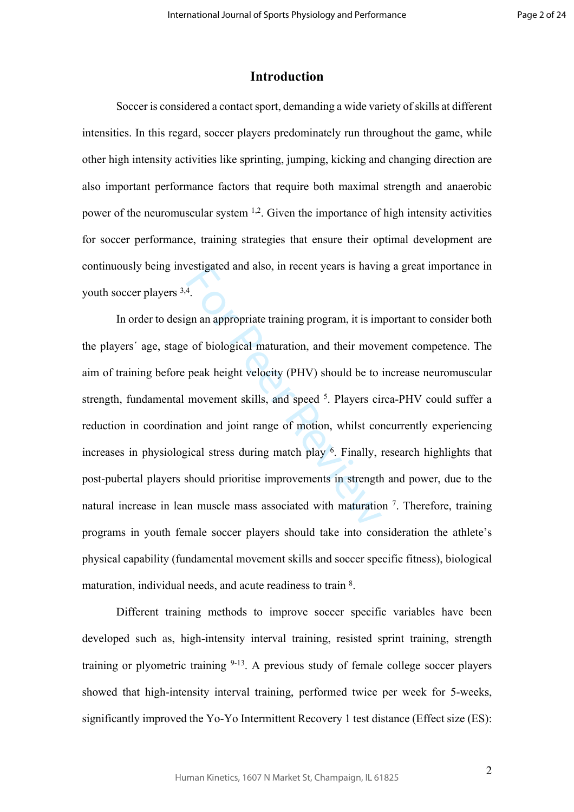# **Introduction**

Soccer is considered a contact sport, demanding a wide variety of skills at different intensities. In this regard, soccer players predominately run throughout the game, while other high intensity activities like sprinting, jumping, kicking and changing direction are also important performance factors that require both maximal strength and anaerobic power of the neuromuscular system 1,2. Given the importance of high intensity activities for soccer performance, training strategies that ensure their optimal development are continuously being investigated and also, in recent years is having a great importance in youth soccer players  $3,4$ .

For Peer Resugated and also, in fecent years is having<br>the end of biological maturation, and their move<br>peak height velocity (PHV) should be to<br>movement skills, and speed <sup>5</sup>. Players cincion and joint range of motion, wh In order to design an appropriate training program, it is important to consider both the players´ age, stage of biological maturation, and their movement competence. The aim of training before peak height velocity (PHV) should be to increase neuromuscular strength, fundamental movement skills, and speed <sup>5</sup>. Players circa-PHV could suffer a reduction in coordination and joint range of motion, whilst concurrently experiencing increases in physiological stress during match play 6 . Finally, research highlights that post-pubertal players should prioritise improvements in strength and power, due to the natural increase in lean muscle mass associated with maturation <sup>7</sup>. Therefore, training programs in youth female soccer players should take into consideration the athlete's physical capability (fundamental movement skills and soccer specific fitness), biological maturation, individual needs, and acute readiness to train 8.

Different training methods to improve soccer specific variables have been developed such as, high-intensity interval training, resisted sprint training, strength training or plyometric training  $9-13$ . A previous study of female college soccer players showed that high-intensity interval training, performed twice per week for 5-weeks, significantly improved the Yo-Yo Intermittent Recovery 1 test distance (Effect size (ES):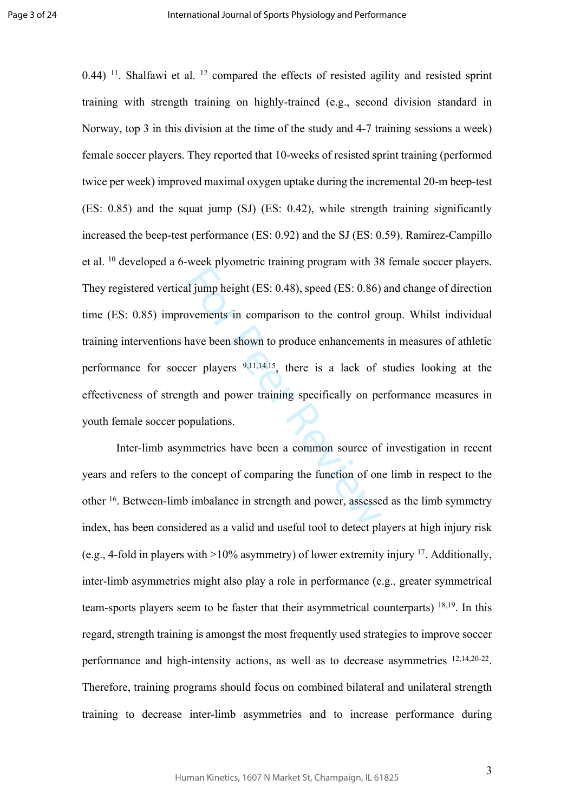al jump height (ES: 0.48), speed (ES: 0.86)<br>ovements in comparison to the control graduate been shown to produce enhancements<br>ter players  $9,11,14,15$ , there is a lack of<br>gth and power training specifically on pe<br>opulatio 0.44) <sup>11</sup>. Shalfawi et al. <sup>12</sup> compared the effects of resisted agility and resisted sprint training with strength training on highly-trained (e.g., second division standard in Norway, top 3 in this division at the time of the study and 4-7 training sessions a week) female soccer players. They reported that 10-weeks of resisted sprint training (performed twice per week) improved maximal oxygen uptake during the incremental 20-m beep-test (ES: 0.85) and the squat jump (SJ) (ES: 0.42), while strength training significantly increased the beep-test performance (ES: 0.92) and the SJ (ES: 0.59). Ramirez-Campillo et al. <sup>10</sup> developed a 6-week plyometric training program with 38 female soccer players. They registered vertical jump height (ES: 0.48), speed (ES: 0.86) and change of direction time (ES: 0.85) improvements in comparison to the control group. Whilst individual training interventions have been shown to produce enhancements in measures of athletic performance for soccer players  $9,11,14,15$ , there is a lack of studies looking at the effectiveness of strength and power training specifically on performance measures in youth female soccer populations.

Inter-limb asymmetries have been a common source of investigation in recent years and refers to the concept of comparing the function of one limb in respect to the other <sup>16</sup>. Between-limb imbalance in strength and power, assessed as the limb symmetry index, has been considered as a valid and useful tool to detect players at high injury risk (e.g., 4-fold in players with  $>10\%$  asymmetry) of lower extremity injury <sup>17</sup>. Additionally, inter-limb asymmetries might also play a role in performance (e.g., greater symmetrical team-sports players seem to be faster that their asymmetrical counterparts) 18,19. In this regard, strength training is amongst the most frequently used strategies to improve soccer performance and high-intensity actions, as well as to decrease asymmetries  $12,14,20-22$ . Therefore, training programs should focus on combined bilateral and unilateral strength training to decrease inter-limb asymmetries and to increase performance during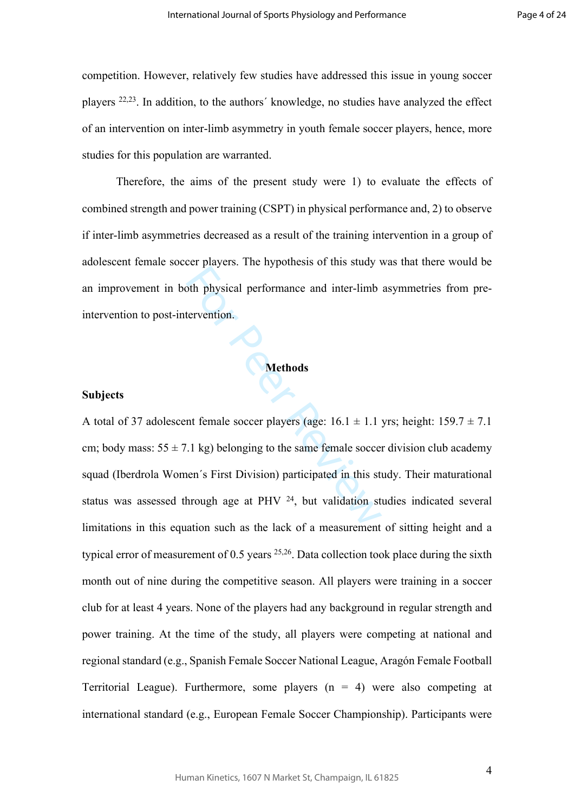competition. However, relatively few studies have addressed this issue in young soccer players 22,23. In addition, to the authors´ knowledge, no studies have analyzed the effect of an intervention on inter-limb asymmetry in youth female soccer players, hence, more studies for this population are warranted.

Therefore, the aims of the present study were 1) to evaluate the effects of combined strength and power training (CSPT) in physical performance and, 2) to observe if inter-limb asymmetries decreased as a result of the training intervention in a group of adolescent female soccer players. The hypothesis of this study was that there would be an improvement in both physical performance and inter-limb asymmetries from preintervention to post-intervention.

#### **Methods**

#### **Subjects**

of the physical performance and inter-limb<br>tervention.<br>**Methods**<br>nt female soccer players (age:  $16.1 \pm 1.1$ <br>The soccer players (age:  $16.1 \pm 1.1$ <br>The soccer players (age:  $16.1 \pm 1.1$ <br>The soccer players (age:  $16.1 \pm 1.1$ A total of 37 adolescent female soccer players (age:  $16.1 \pm 1.1$  yrs; height:  $159.7 \pm 7.1$ cm; body mass:  $55 \pm 7.1$  kg) belonging to the same female soccer division club academy squad (Iberdrola Women´s First Division) participated in this study. Their maturational status was assessed through age at PHV  $24$ , but validation studies indicated several limitations in this equation such as the lack of a measurement of sitting height and a typical error of measurement of  $0.5$  years  $25,26$ . Data collection took place during the sixth month out of nine during the competitive season. All players were training in a soccer club for at least 4 years. None of the players had any background in regular strength and power training. At the time of the study, all players were competing at national and regional standard (e.g., Spanish Female Soccer National League, Aragón Female Football Territorial League). Furthermore, some players  $(n = 4)$  were also competing at international standard (e.g., European Female Soccer Championship). Participants were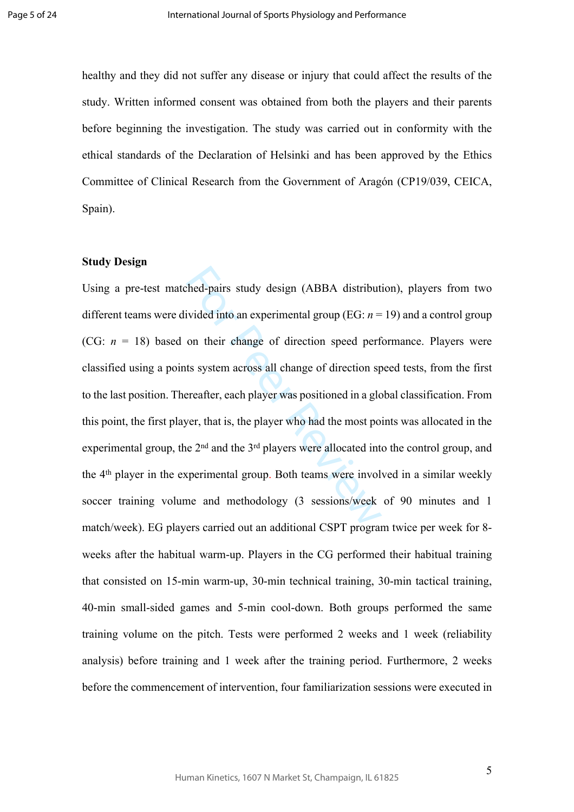healthy and they did not suffer any disease or injury that could affect the results of the study. Written informed consent was obtained from both the players and their parents before beginning the investigation. The study was carried out in conformity with the ethical standards of the Declaration of Helsinki and has been approved by the Ethics Committee of Clinical Research from the Government of Aragón (CP19/039, CEICA, Spain).

#### **Study Design**

thed-pairs study design (ABBA distribut<br>ivided into an experimental group (EG:  $n =$ <br>on their change of direction speed perf<br>ts system across all change of direction sp<br>ereafter, each player was positioned in a glc<br>yer, th Using a pre-test matched-pairs study design (ABBA distribution), players from two different teams were divided into an experimental group (EG: *n* = 19) and a control group (CG:  $n = 18$ ) based on their change of direction speed performance. Players were classified using a points system across all change of direction speed tests, from the first to the last position. Thereafter, each player was positioned in a global classification. From this point, the first player, that is, the player who had the most points was allocated in the experimental group, the  $2<sup>nd</sup>$  and the  $3<sup>rd</sup>$  players were allocated into the control group, and the 4th player in the experimental group. Both teams were involved in a similar weekly soccer training volume and methodology (3 sessions/week of 90 minutes and 1 match/week). EG players carried out an additional CSPT program twice per week for 8 weeks after the habitual warm-up. Players in the CG performed their habitual training that consisted on 15-min warm-up, 30-min technical training, 30-min tactical training, 40-min small-sided games and 5-min cool-down. Both groups performed the same training volume on the pitch. Tests were performed 2 weeks and 1 week (reliability analysis) before training and 1 week after the training period. Furthermore, 2 weeks before the commencement of intervention, four familiarization sessions were executed in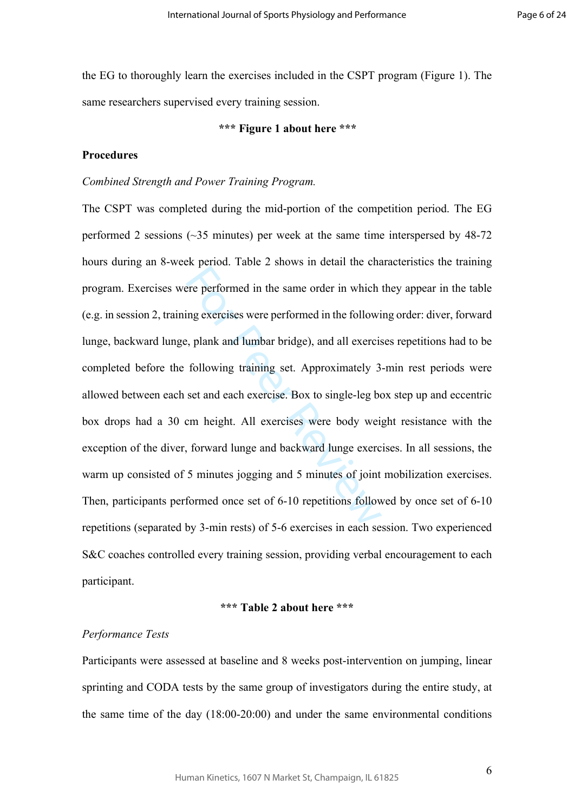the EG to thoroughly learn the exercises included in the CSPT program (Figure 1). The same researchers supervised every training session.

#### **\*\*\* Figure 1 about here \*\*\***

## **Procedures**

#### *Combined Strength and Power Training Program.*

Forward in the same order in which<br>ing exercises were performed in the followi<br>i, plank and lumbar bridge), and all exercis<br>following training set. Approximately 3<br>set and each exercise. Box to single-leg be<br>cm height. All The CSPT was completed during the mid-portion of the competition period. The EG performed 2 sessions (~35 minutes) per week at the same time interspersed by 48-72 hours during an 8-week period. Table 2 shows in detail the characteristics the training program. Exercises were performed in the same order in which they appear in the table (e.g. in session 2, training exercises were performed in the following order: diver, forward lunge, backward lunge, plank and lumbar bridge), and all exercises repetitions had to be completed before the following training set. Approximately 3-min rest periods were allowed between each set and each exercise. Box to single-leg box step up and eccentric box drops had a 30 cm height. All exercises were body weight resistance with the exception of the diver, forward lunge and backward lunge exercises. In all sessions, the warm up consisted of 5 minutes jogging and 5 minutes of joint mobilization exercises. Then, participants performed once set of 6-10 repetitions followed by once set of 6-10 repetitions (separated by 3-min rests) of 5-6 exercises in each session. Two experienced S&C coaches controlled every training session, providing verbal encouragement to each participant.

### **\*\*\* Table 2 about here \*\*\***

#### *Performance Tests*

Participants were assessed at baseline and 8 weeks post-intervention on jumping, linear sprinting and CODA tests by the same group of investigators during the entire study, at the same time of the day (18:00-20:00) and under the same environmental conditions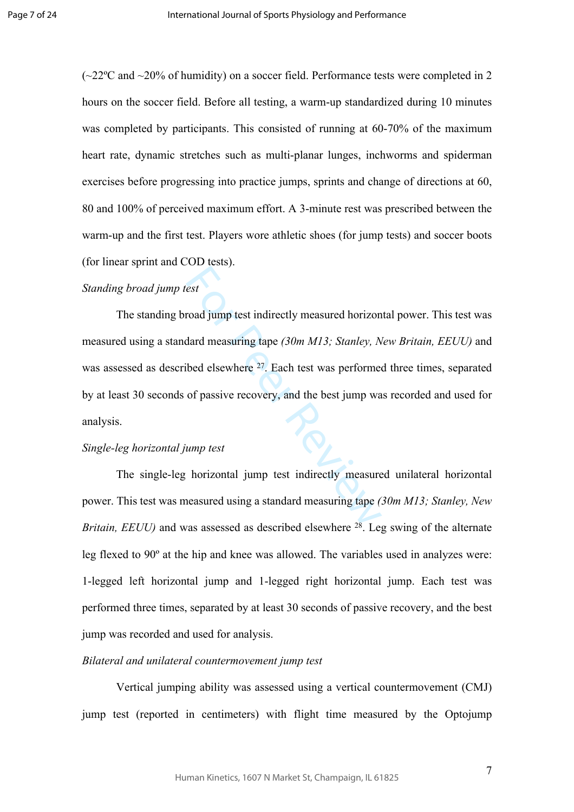$(\sim 22^{\circ}$ C and  $\sim 20\%$  of humidity) on a soccer field. Performance tests were completed in 2 hours on the soccer field. Before all testing, a warm-up standardized during 10 minutes was completed by participants. This consisted of running at 60-70% of the maximum heart rate, dynamic stretches such as multi-planar lunges, inchworms and spiderman exercises before progressing into practice jumps, sprints and change of directions at 60, 80 and 100% of perceived maximum effort. A 3-minute rest was prescribed between the warm-up and the first test. Players wore athletic shoes (for jump tests) and soccer boots (for linear sprint and COD tests).

## *Standing broad jump test*

est<br>road jump test indirectly measured horizon<br>dard measuring tape (30m M13; Stanley, N<br>bed elsewhere <sup>27</sup>. Each test was performed<br>of passive recovery, and the best jump wa<br>mump test<br>horizontal jump test indirectly measur The standing broad jump test indirectly measured horizontal power. This test was measured using a standard measuring tape *(30m M13; Stanley, New Britain, EEUU)* and was assessed as described elsewhere <sup>27</sup>. Each test was performed three times, separated by at least 30 seconds of passive recovery, and the best jump was recorded and used for analysis.

### *Single-leg horizontal jump test*

The single-leg horizontal jump test indirectly measured unilateral horizontal power. This test was measured using a standard measuring tape *(30m M13; Stanley, New Britain, EEUU)* and was assessed as described elsewhere <sup>28</sup>. Leg swing of the alternate leg flexed to 90º at the hip and knee was allowed. The variables used in analyzes were: 1-legged left horizontal jump and 1-legged right horizontal jump. Each test was performed three times, separated by at least 30 seconds of passive recovery, and the best jump was recorded and used for analysis.

### *Bilateral and unilateral countermovement jump test*

Vertical jumping ability was assessed using a vertical countermovement (CMJ) jump test (reported in centimeters) with flight time measured by the Optojump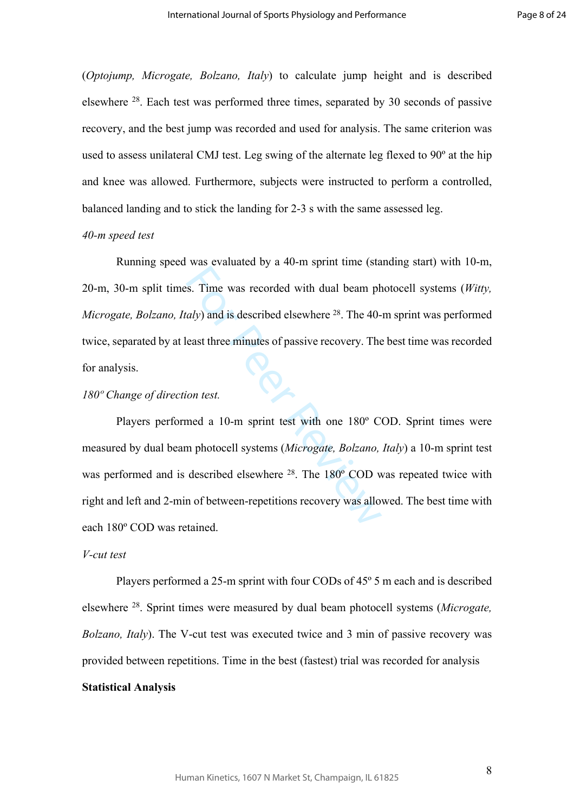(*Optojump, Microgate, Bolzano, Italy*) to calculate jump height and is described elsewhere <sup>28</sup>. Each test was performed three times, separated by 30 seconds of passive recovery, and the best jump was recorded and used for analysis. The same criterion was used to assess unilateral CMJ test. Leg swing of the alternate leg flexed to 90º at the hip and knee was allowed. Furthermore, subjects were instructed to perform a controlled, balanced landing and to stick the landing for 2-3 s with the same assessed leg.

#### *40-m speed test*

Running speed was evaluated by a 40-m sprint time (standing start) with 10-m, 20-m, 30-m split times. Time was recorded with dual beam photocell systems (*Witty, Microgate, Bolzano, Italy*) and is described elsewhere <sup>28</sup>. The 40-m sprint was performed twice, separated by at least three minutes of passive recovery. The best time was recorded for analysis.

#### *180º Change of direction test.*

S. Time was recorded with dual beam ph<br> *aly*) and is described elsewhere <sup>28</sup>. The 40-<br>
east three minutes of passive recovery. The<br> *ion test.*<br>
med a 10-m sprint test with one 180° C<br>
m photocell systems (*Microgate, B* Players performed a 10-m sprint test with one 180º COD. Sprint times were measured by dual beam photocell systems (*Microgate, Bolzano, Italy*) a 10-m sprint test was performed and is described elsewhere <sup>28</sup>. The 180<sup>°</sup> COD was repeated twice with right and left and 2-min of between-repetitions recovery was allowed. The best time with each 180º COD was retained.

### *V-cut test*

Players performed a 25-m sprint with four CODs of 45º 5 m each and is described elsewhere <sup>28</sup>. Sprint times were measured by dual beam photocell systems (*Microgate, Bolzano, Italy*). The V-cut test was executed twice and 3 min of passive recovery was provided between repetitions. Time in the best (fastest) trial was recorded for analysis **Statistical Analysis**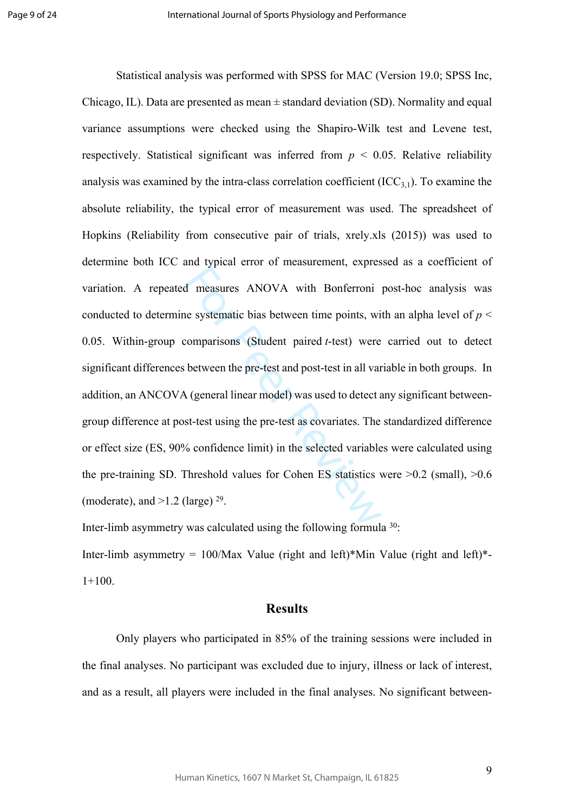d measures ANOVA with Bonferroni<br>e systematic bias between time points, wi<br>omparisons (Student paired *t*-test) were<br>between the pre-test and post-test in all var<br>(general linear model) was used to detect *a*<br>st-test usin Statistical analysis was performed with SPSS for MAC (Version 19.0; SPSS Inc, Chicago, IL). Data are presented as mean  $\pm$  standard deviation (SD). Normality and equal variance assumptions were checked using the Shapiro-Wilk test and Levene test, respectively. Statistical significant was inferred from  $p < 0.05$ . Relative reliability analysis was examined by the intra-class correlation coefficient  $(ICC_{3,1})$ . To examine the absolute reliability, the typical error of measurement was used. The spreadsheet of Hopkins (Reliability from consecutive pair of trials, xrely.xls (2015)) was used to determine both ICC and typical error of measurement, expressed as a coefficient of variation. A repeated measures ANOVA with Bonferroni post-hoc analysis was conducted to determine systematic bias between time points, with an alpha level of  $p <$ 0.05. Within-group comparisons (Student paired *t*-test) were carried out to detect significant differences between the pre-test and post-test in all variable in both groups. In addition, an ANCOVA (general linear model) was used to detect any significant betweengroup difference at post-test using the pre-test as covariates. The standardized difference or effect size (ES, 90% confidence limit) in the selected variables were calculated using the pre-training SD. Threshold values for Cohen ES statistics were  $>0.2$  (small),  $>0.6$ (moderate), and  $>1.2$  (large)  $^{29}$ .

Inter-limb asymmetry was calculated using the following formula 30:

Inter-limb asymmetry =  $100$ /Max Value (right and left)\*Min Value (right and left)\*- $1+100.$ 

## **Results**

Only players who participated in 85% of the training sessions were included in the final analyses. No participant was excluded due to injury, illness or lack of interest, and as a result, all players were included in the final analyses. No significant between-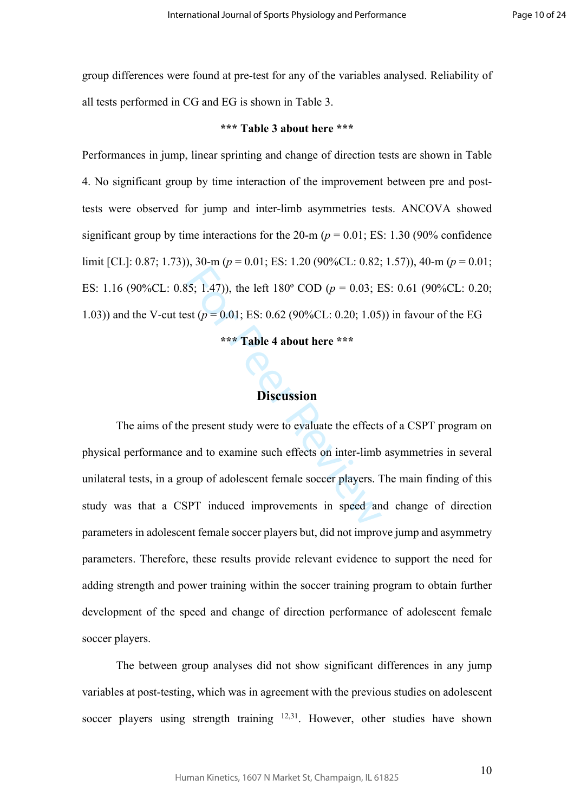group differences were found at pre-test for any of the variables analysed. Reliability of all tests performed in CG and EG is shown in Table 3.

#### **\*\*\* Table 3 about here \*\*\***

Performances in jump, linear sprinting and change of direction tests are shown in Table 4. No significant group by time interaction of the improvement between pre and posttests were observed for jump and inter-limb asymmetries tests. ANCOVA showed significant group by time interactions for the  $20-m$  ( $p = 0.01$ ; ES: 1.30 (90% confidence) limit [CL]: 0.87; 1.73)), 30-m (*p* = 0.01; ES: 1.20 (90%CL: 0.82; 1.57)), 40-m (*p* = 0.01; ES: 1.16 (90%CL: 0.85; 1.47)), the left 180º COD (*p* = 0.03; ES: 0.61 (90%CL: 0.20; 1.03)) and the V-cut test (*p* = 0.01; ES: 0.62 (90%CL: 0.20; 1.05)) in favour of the EG

#### **\*\*\* Table 4 about here \*\*\***

## **Discussion**

S5; 1.47)), the left 180° COD ( $p = 0.03$ ; E<br>st ( $p = 0.01$ ; ES: 0.62 (90%CL: 0.20; 1.05)<br>\*\*\* Table 4 about here \*\*\*<br>Discussion<br>Present study were to evaluate the effects<br>and to examine such effects on inter-limb<br>oup of ado The aims of the present study were to evaluate the effects of a CSPT program on physical performance and to examine such effects on inter-limb asymmetries in several unilateral tests, in a group of adolescent female soccer players. The main finding of this study was that a CSPT induced improvements in speed and change of direction parameters in adolescent female soccer players but, did not improve jump and asymmetry parameters. Therefore, these results provide relevant evidence to support the need for adding strength and power training within the soccer training program to obtain further development of the speed and change of direction performance of adolescent female soccer players.

The between group analyses did not show significant differences in any jump variables at post-testing, which was in agreement with the previous studies on adolescent soccer players using strength training <sup>12,31</sup>. However, other studies have shown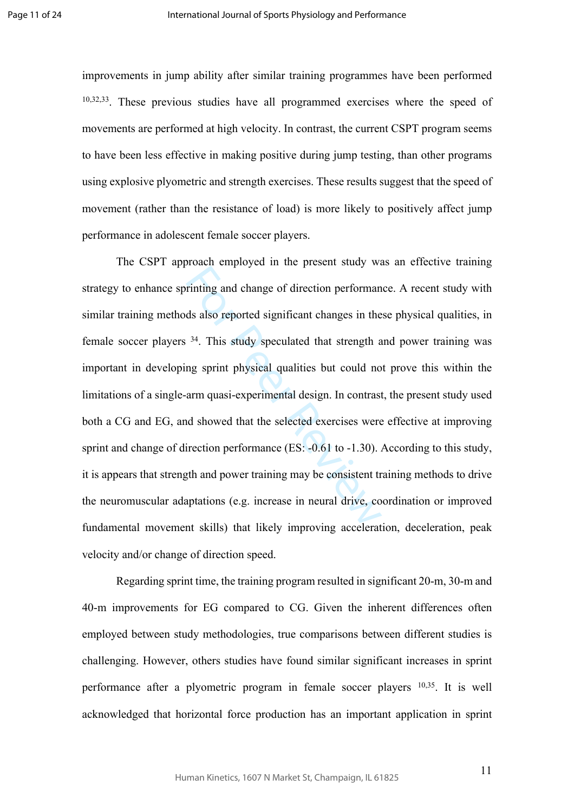improvements in jump ability after similar training programmes have been performed 10,32,33. These previous studies have all programmed exercises where the speed of movements are performed at high velocity. In contrast, the current CSPT program seems to have been less effective in making positive during jump testing, than other programs using explosive plyometric and strength exercises. These results suggest that the speed of movement (rather than the resistance of load) is more likely to positively affect jump performance in adolescent female soccer players.

For Preservingth<br>
rinting and change of direction performant<br>
ds also reported significant changes in the<br>
<sup>34</sup>. This study speculated that strength a<br>
ng sprint physical qualities but could no<br>
arm quasi-experimental des The CSPT approach employed in the present study was an effective training strategy to enhance sprinting and change of direction performance. A recent study with similar training methods also reported significant changes in these physical qualities, in female soccer players <sup>34</sup>. This study speculated that strength and power training was important in developing sprint physical qualities but could not prove this within the limitations of a single-arm quasi-experimental design. In contrast, the present study used both a CG and EG, and showed that the selected exercises were effective at improving sprint and change of direction performance (ES: -0.61 to -1.30). According to this study, it is appears that strength and power training may be consistent training methods to drive the neuromuscular adaptations (e.g. increase in neural drive, coordination or improved fundamental movement skills) that likely improving acceleration, deceleration, peak velocity and/or change of direction speed.

Regarding sprint time, the training program resulted in significant 20-m, 30-m and 40-m improvements for EG compared to CG. Given the inherent differences often employed between study methodologies, true comparisons between different studies is challenging. However, others studies have found similar significant increases in sprint performance after a plyometric program in female soccer players 10,35. It is well acknowledged that horizontal force production has an important application in sprint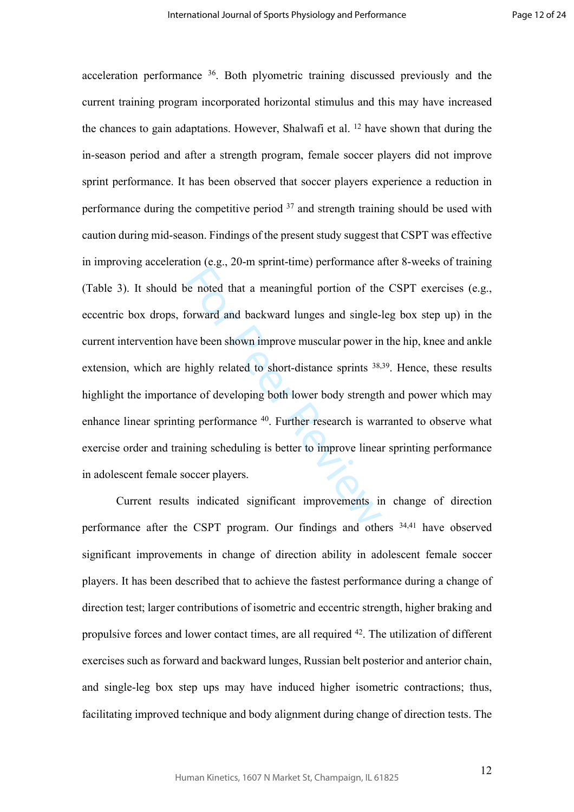e noted that a meaningful portion of the<br>
Sorward and backward lunges and single-<br>
we been shown improve muscular power in<br>
highly related to short-distance sprints <sup>38,</sup><br>
ce of developing both lower body strength<br>
ng perf acceleration performance <sup>36</sup>. Both plyometric training discussed previously and the current training program incorporated horizontal stimulus and this may have increased the chances to gain adaptations. However, Shalwafi et al.  $^{12}$  have shown that during the in-season period and after a strength program, female soccer players did not improve sprint performance. It has been observed that soccer players experience a reduction in performance during the competitive period  $37$  and strength training should be used with caution during mid-season. Findings of the present study suggest that CSPT was effective in improving acceleration (e.g., 20-m sprint-time) performance after 8-weeks of training (Table 3). It should be noted that a meaningful portion of the CSPT exercises (e.g., eccentric box drops, forward and backward lunges and single-leg box step up) in the current intervention have been shown improve muscular power in the hip, knee and ankle extension, which are highly related to short-distance sprints <sup>38,39</sup>. Hence, these results highlight the importance of developing both lower body strength and power which may enhance linear sprinting performance <sup>40</sup>. Further research is warranted to observe what exercise order and training scheduling is better to improve linear sprinting performance in adolescent female soccer players.

Current results indicated significant improvements in change of direction performance after the CSPT program. Our findings and others 34,41 have observed significant improvements in change of direction ability in adolescent female soccer players. It has been described that to achieve the fastest performance during a change of direction test; larger contributions of isometric and eccentric strength, higher braking and propulsive forces and lower contact times, are all required <sup>42</sup>. The utilization of different exercises such as forward and backward lunges, Russian belt posterior and anterior chain, and single-leg box step ups may have induced higher isometric contractions; thus, facilitating improved technique and body alignment during change of direction tests. The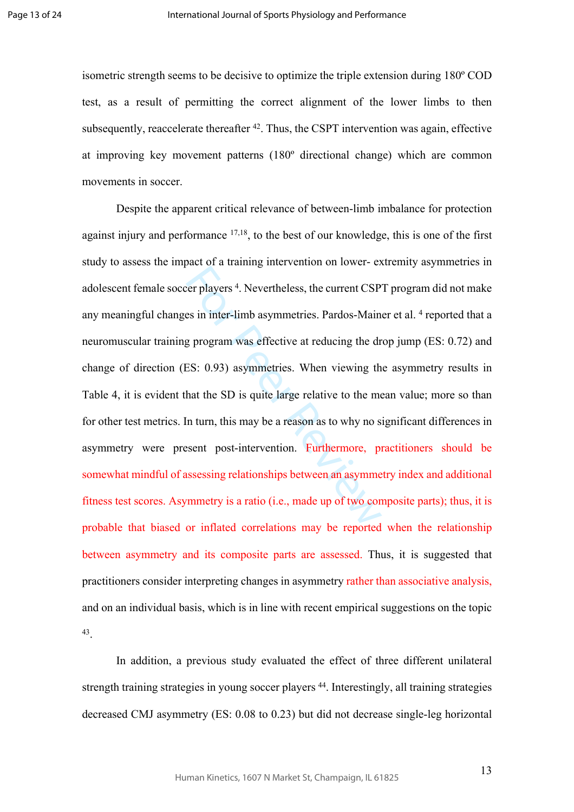isometric strength seems to be decisive to optimize the triple extension during 180º COD test, as a result of permitting the correct alignment of the lower limbs to then subsequently, reaccelerate thereafter  $42$ . Thus, the CSPT intervention was again, effective at improving key movement patterns (180º directional change) which are common movements in soccer.

Exercise 4. Nevertheless, the current CSP<br>es in inter-limb asymmetries. Pardos-Main<br>g program was effective at reducing the dr<br>ES: 0.93) asymmetries. When viewing th<br>hat the SD is quite large relative to the me<br>n turn, thi Despite the apparent critical relevance of between-limb imbalance for protection against injury and performance  $17,18$ , to the best of our knowledge, this is one of the first study to assess the impact of a training intervention on lower- extremity asymmetries in adolescent female soccer players 4 . Nevertheless, the current CSPT program did not make any meaningful changes in inter-limb asymmetries. Pardos-Mainer et al. <sup>4</sup> reported that a neuromuscular training program was effective at reducing the drop jump (ES: 0.72) and change of direction (ES: 0.93) asymmetries. When viewing the asymmetry results in Table 4, it is evident that the SD is quite large relative to the mean value; more so than for other test metrics. In turn, this may be a reason as to why no significant differences in asymmetry were present post-intervention. Furthermore, practitioners should be somewhat mindful of assessing relationships between an asymmetry index and additional fitness test scores. Asymmetry is a ratio (i.e., made up of two composite parts); thus, it is probable that biased or inflated correlations may be reported when the relationship between asymmetry and its composite parts are assessed. Thus, it is suggested that practitioners consider interpreting changes in asymmetry rather than associative analysis, and on an individual basis, which is in line with recent empirical suggestions on the topic 43 .

In addition, a previous study evaluated the effect of three different unilateral strength training strategies in young soccer players <sup>44</sup>. Interestingly, all training strategies decreased CMJ asymmetry (ES: 0.08 to 0.23) but did not decrease single-leg horizontal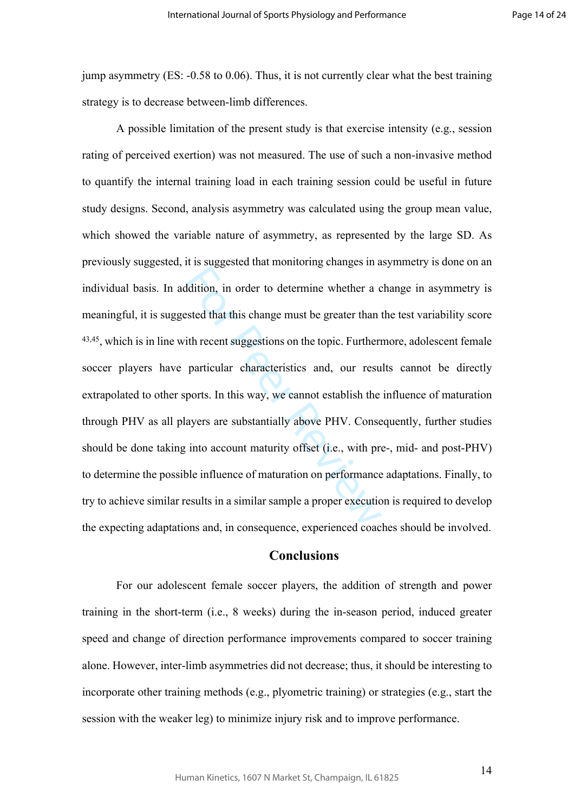jump asymmetry (ES: -0.58 to 0.06). Thus, it is not currently clear what the best training strategy is to decrease between-limb differences.

Example 18 and the set of the set of the set of the set of the set of the set of that this change must be greater than it it hecent suggestions on the topic. Furtherm particular characteristics and, our result ports. In th A possible limitation of the present study is that exercise intensity (e.g., session rating of perceived exertion) was not measured. The use of such a non-invasive method to quantify the internal training load in each training session could be useful in future study designs. Second, analysis asymmetry was calculated using the group mean value, which showed the variable nature of asymmetry, as represented by the large SD. As previously suggested, it is suggested that monitoring changes in asymmetry is done on an individual basis. In addition, in order to determine whether a change in asymmetry is meaningful, it is suggested that this change must be greater than the test variability score  $43,45$ , which is in line with recent suggestions on the topic. Furthermore, adolescent female soccer players have particular characteristics and, our results cannot be directly extrapolated to other sports. In this way, we cannot establish the influence of maturation through PHV as all players are substantially above PHV. Consequently, further studies should be done taking into account maturity offset (i.e., with pre-, mid- and post-PHV) to determine the possible influence of maturation on performance adaptations. Finally, to try to achieve similar results in a similar sample a proper execution is required to develop the expecting adaptations and, in consequence, experienced coaches should be involved.

### **Conclusions**

For our adolescent female soccer players, the addition of strength and power training in the short-term (i.e., 8 weeks) during the in-season period, induced greater speed and change of direction performance improvements compared to soccer training alone. However, inter-limb asymmetries did not decrease; thus, it should be interesting to incorporate other training methods (e.g., plyometric training) or strategies (e.g., start the session with the weaker leg) to minimize injury risk and to improve performance.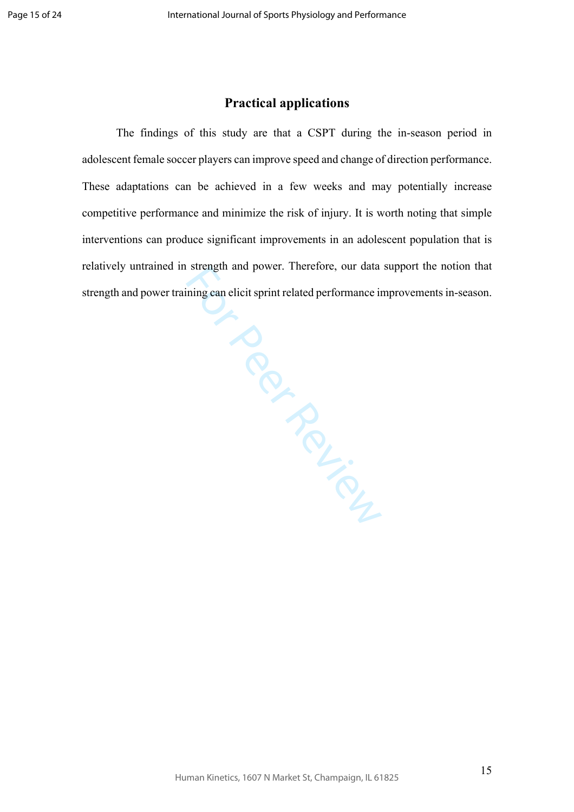# **Practical applications**

From Page The findings of this study are that a CSPT during the in-season period in adolescent female soccer players can improve speed and change of direction performance. These adaptations can be achieved in a few weeks and may potentially increase competitive performance and minimize the risk of injury. It is worth noting that simple interventions can produce significant improvements in an adolescent population that is relatively untrained in strength and power. Therefore, our data support the notion that strength and power training can elicit sprint related performance improvements in-season.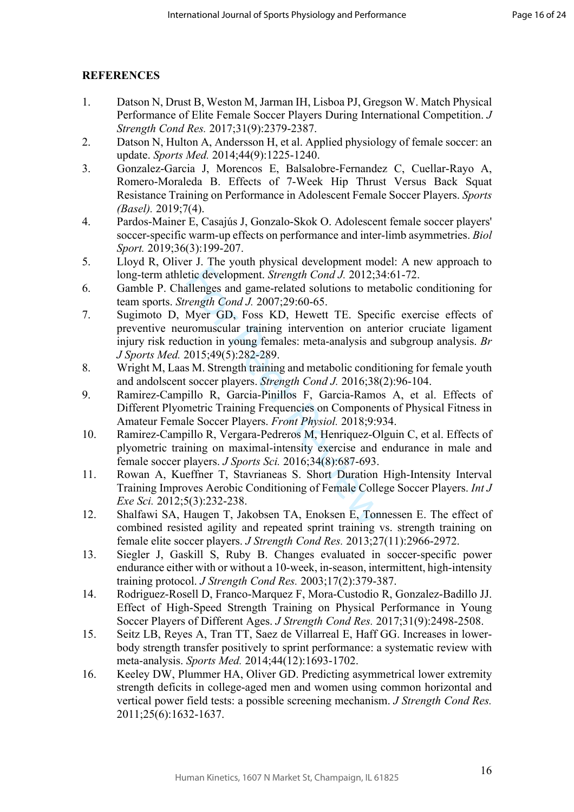# **REFERENCES**

- 1. Datson N, Drust B, Weston M, Jarman IH, Lisboa PJ, Gregson W. Match Physical Performance of Elite Female Soccer Players During International Competition. *J Strength Cond Res.* 2017;31(9):2379-2387.
- 2. Datson N, Hulton A, Andersson H, et al. Applied physiology of female soccer: an update. *Sports Med.* 2014;44(9):1225-1240.
- 3. Gonzalez-Garcia J, Morencos E, Balsalobre-Fernandez C, Cuellar-Rayo A, Romero-Moraleda B. Effects of 7-Week Hip Thrust Versus Back Squat Resistance Training on Performance in Adolescent Female Soccer Players. *Sports (Basel).* 2019;7(4).
- 4. Pardos-Mainer E, Casajús J, Gonzalo-Skok O. Adolescent female soccer players' soccer-specific warm-up effects on performance and inter-limb asymmetries. *Biol Sport.* 2019;36(3):199-207.
- 5. Lloyd R, Oliver J. The youth physical development model: A new approach to long-term athletic development. *Strength Cond J.* 2012;34:61-72.
- 6. Gamble P. Challenges and game-related solutions to metabolic conditioning for team sports. *Strength Cond J.* 2007;29:60-65.
- tic development. *Strength Cond J.* 2012;3.<br>
illenges and game-related solutions to merenth Cond J. 2007;29:60-65.<br>
Myer GD, Foss KD, Hewett TE. Speciromuscular training intervention on antition in young females: meta-anal 7. Sugimoto D, Myer GD, Foss KD, Hewett TE. Specific exercise effects of preventive neuromuscular training intervention on anterior cruciate ligament injury risk reduction in young females: meta-analysis and subgroup analysis. *Br J Sports Med.* 2015;49(5):282-289.
- 8. Wright M, Laas M. Strength training and metabolic conditioning for female youth and andolscent soccer players. *Strength Cond J.* 2016;38(2):96-104.
- 9. Ramirez-Campillo R, Garcia-Pinillos F, Garcia-Ramos A, et al. Effects of Different Plyometric Training Frequencies on Components of Physical Fitness in Amateur Female Soccer Players. *Front Physiol.* 2018;9:934.
- 10. Ramirez-Campillo R, Vergara-Pedreros M, Henriquez-Olguin C, et al. Effects of plyometric training on maximal-intensity exercise and endurance in male and female soccer players. *J Sports Sci.* 2016;34(8):687-693.
- 11. Rowan A, Kueffner T, Stavrianeas S. Short Duration High-Intensity Interval Training Improves Aerobic Conditioning of Female College Soccer Players. *Int J Exe Sci.* 2012;5(3):232-238.
- 12. Shalfawi SA, Haugen T, Jakobsen TA, Enoksen E, Tonnessen E. The effect of combined resisted agility and repeated sprint training vs. strength training on female elite soccer players. *J Strength Cond Res.* 2013;27(11):2966-2972.
- 13. Siegler J, Gaskill S, Ruby B. Changes evaluated in soccer-specific power endurance either with or without a 10-week, in-season, intermittent, high-intensity training protocol. *J Strength Cond Res.* 2003;17(2):379-387.
- 14. Rodriguez-Rosell D, Franco-Marquez F, Mora-Custodio R, Gonzalez-Badillo JJ. Effect of High-Speed Strength Training on Physical Performance in Young Soccer Players of Different Ages. *J Strength Cond Res.* 2017;31(9):2498-2508.
- 15. Seitz LB, Reyes A, Tran TT, Saez de Villarreal E, Haff GG. Increases in lowerbody strength transfer positively to sprint performance: a systematic review with meta-analysis. *Sports Med.* 2014;44(12):1693-1702.
- 16. Keeley DW, Plummer HA, Oliver GD. Predicting asymmetrical lower extremity strength deficits in college-aged men and women using common horizontal and vertical power field tests: a possible screening mechanism. *J Strength Cond Res.*  2011;25(6):1632-1637.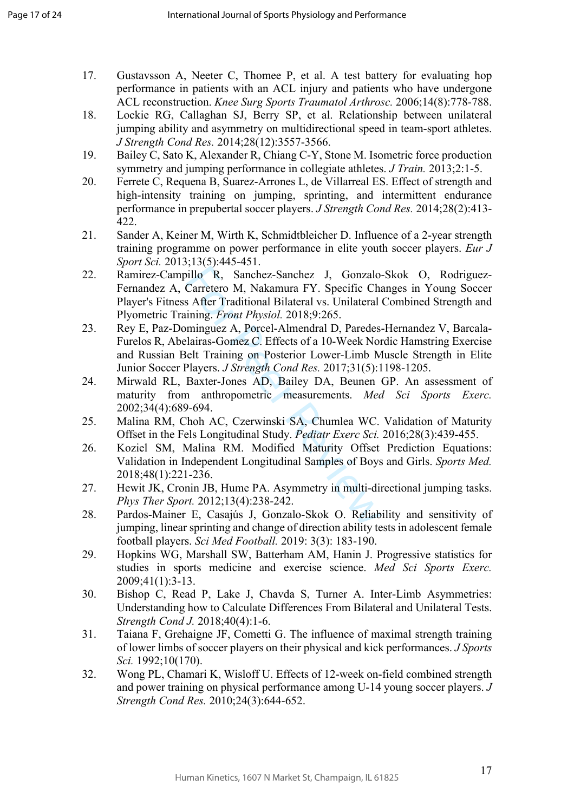- 17. Gustavsson A, Neeter C, Thomee P, et al. A test battery for evaluating hop performance in patients with an ACL injury and patients who have undergone ACL reconstruction. *Knee Surg Sports Traumatol Arthrosc.* 2006;14(8):778-788.
- 18. Lockie RG, Callaghan SJ, Berry SP, et al. Relationship between unilateral jumping ability and asymmetry on multidirectional speed in team-sport athletes. *J Strength Cond Res.* 2014;28(12):3557-3566.
- 19. Bailey C, Sato K, Alexander R, Chiang C-Y, Stone M. Isometric force production symmetry and jumping performance in collegiate athletes. *J Train.* 2013;2:1-5.
- 20. Ferrete C, Requena B, Suarez-Arrones L, de Villarreal ES. Effect of strength and high-intensity training on jumping, sprinting, and intermittent endurance performance in prepubertal soccer players. *J Strength Cond Res.* 2014;28(2):413- 422.
- 21. Sander A, Keiner M, Wirth K, Schmidtbleicher D. Influence of a 2-year strength training programme on power performance in elite youth soccer players. *Eur J Sport Sci.* 2013;13(5):445-451.
- illo R, Sanchez-Sanchez J, Gonzalo-<br>Carretero M, Nakamura FY. Specific Cha<br>s After Traditional Bilateral vs. Unilateral<br>ining. *Front Physiol*. 2018;9:265.<br>minguez A, Porcel-Almendral D, Paredes-<br>lairas-Gomez C. Effects of 22. Ramirez-Campillo R, Sanchez-Sanchez J, Gonzalo-Skok O, Rodriguez-Fernandez A, Carretero M, Nakamura FY. Specific Changes in Young Soccer Player's Fitness After Traditional Bilateral vs. Unilateral Combined Strength and Plyometric Training. *Front Physiol.* 2018;9:265.
- 23. Rey E, Paz-Dominguez A, Porcel-Almendral D, Paredes-Hernandez V, Barcala-Furelos R, Abelairas-Gomez C. Effects of a 10-Week Nordic Hamstring Exercise and Russian Belt Training on Posterior Lower-Limb Muscle Strength in Elite Junior Soccer Players. *J Strength Cond Res.* 2017;31(5):1198-1205.
- 24. Mirwald RL, Baxter-Jones AD, Bailey DA, Beunen GP. An assessment of maturity from anthropometric measurements. *Med Sci Sports Exerc.*  2002;34(4):689-694.
- 25. Malina RM, Choh AC, Czerwinski SA, Chumlea WC. Validation of Maturity Offset in the Fels Longitudinal Study. *Pediatr Exerc Sci.* 2016;28(3):439-455.
- 26. Koziel SM, Malina RM. Modified Maturity Offset Prediction Equations: Validation in Independent Longitudinal Samples of Boys and Girls. *Sports Med.*  2018;48(1):221-236.
- 27. Hewit JK, Cronin JB, Hume PA. Asymmetry in multi-directional jumping tasks. *Phys Ther Sport.* 2012;13(4):238-242.
- 28. Pardos-Mainer E, Casajús J, Gonzalo-Skok O. Reliability and sensitivity of jumping, linear sprinting and change of direction ability tests in adolescent female football players. *Sci Med Football.* 2019: 3(3): 183-190.
- 29. Hopkins WG, Marshall SW, Batterham AM, Hanin J. Progressive statistics for studies in sports medicine and exercise science. *Med Sci Sports Exerc.*  2009;41(1):3-13.
- 30. Bishop C, Read P, Lake J, Chavda S, Turner A. Inter-Limb Asymmetries: Understanding how to Calculate Differences From Bilateral and Unilateral Tests. *Strength Cond J.* 2018;40(4):1-6.
- 31. Taiana F, Grehaigne JF, Cometti G. The influence of maximal strength training of lower limbs of soccer players on their physical and kick performances. *J Sports Sci.* 1992;10(170).
- 32. Wong PL, Chamari K, Wisloff U. Effects of 12-week on-field combined strength and power training on physical performance among U-14 young soccer players. *J Strength Cond Res.* 2010;24(3):644-652.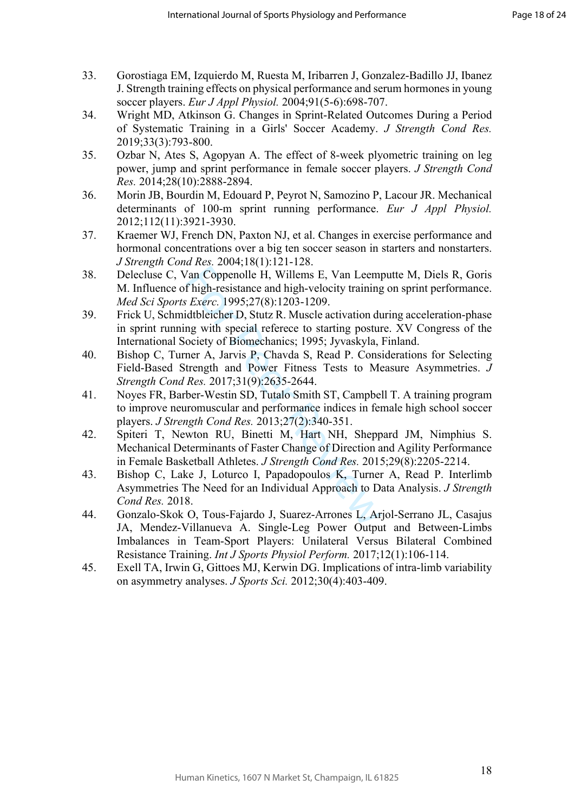- 33. Gorostiaga EM, Izquierdo M, Ruesta M, Iribarren J, Gonzalez-Badillo JJ, Ibanez J. Strength training effects on physical performance and serum hormones in young soccer players. *Eur J Appl Physiol.* 2004;91(5-6):698-707.
- 34. Wright MD, Atkinson G. Changes in Sprint-Related Outcomes During a Period of Systematic Training in a Girls' Soccer Academy. *J Strength Cond Res.*  2019;33(3):793-800.
- 35. Ozbar N, Ates S, Agopyan A. The effect of 8-week plyometric training on leg power, jump and sprint performance in female soccer players. *J Strength Cond Res.* 2014;28(10):2888-2894.
- 36. Morin JB, Bourdin M, Edouard P, Peyrot N, Samozino P, Lacour JR. Mechanical determinants of 100-m sprint running performance. *Eur J Appl Physiol.*  2012;112(11):3921-3930.
- 37. Kraemer WJ, French DN, Paxton NJ, et al. Changes in exercise performance and hormonal concentrations over a big ten soccer season in starters and nonstarters. *J Strength Cond Res.* 2004;18(1):121-128.
- The Taure of Matteria Schementary<br>
Thigh-resistance and high-velocity training<br> *Exerc.* 1995;27(8):1203-1209.<br>
dtbleicher D, Stutz R. Muscle activation du<br>
mg with special referece to starting posture<br>
ociety of Biomecha 38. Delecluse C, Van Coppenolle H, Willems E, Van Leemputte M, Diels R, Goris M. Influence of high-resistance and high-velocity training on sprint performance. *Med Sci Sports Exerc.* 1995;27(8):1203-1209.
- 39. Frick U, Schmidtbleicher D, Stutz R. Muscle activation during acceleration-phase in sprint running with special referece to starting posture. XV Congress of the International Society of Biomechanics; 1995; Jyvaskyla, Finland.
- 40. Bishop C, Turner A, Jarvis P, Chavda S, Read P. Considerations for Selecting Field-Based Strength and Power Fitness Tests to Measure Asymmetries. *J Strength Cond Res.* 2017;31(9):2635-2644.
- 41. Noyes FR, Barber-Westin SD, Tutalo Smith ST, Campbell T. A training program to improve neuromuscular and performance indices in female high school soccer players. *J Strength Cond Res.* 2013;27(2):340-351.
- 42. Spiteri T, Newton RU, Binetti M, Hart NH, Sheppard JM, Nimphius S. Mechanical Determinants of Faster Change of Direction and Agility Performance in Female Basketball Athletes. *J Strength Cond Res.* 2015;29(8):2205-2214.
- 43. Bishop C, Lake J, Loturco I, Papadopoulos K, Turner A, Read P. Interlimb Asymmetries The Need for an Individual Approach to Data Analysis. *J Strength Cond Res.* 2018.
- 44. Gonzalo-Skok O, Tous-Fajardo J, Suarez-Arrones L, Arjol-Serrano JL, Casajus JA, Mendez-Villanueva A. Single-Leg Power Output and Between-Limbs Imbalances in Team-Sport Players: Unilateral Versus Bilateral Combined Resistance Training. *Int J Sports Physiol Perform.* 2017;12(1):106-114.
- 45. Exell TA, Irwin G, Gittoes MJ, Kerwin DG. Implications of intra-limb variability on asymmetry analyses. *J Sports Sci.* 2012;30(4):403-409.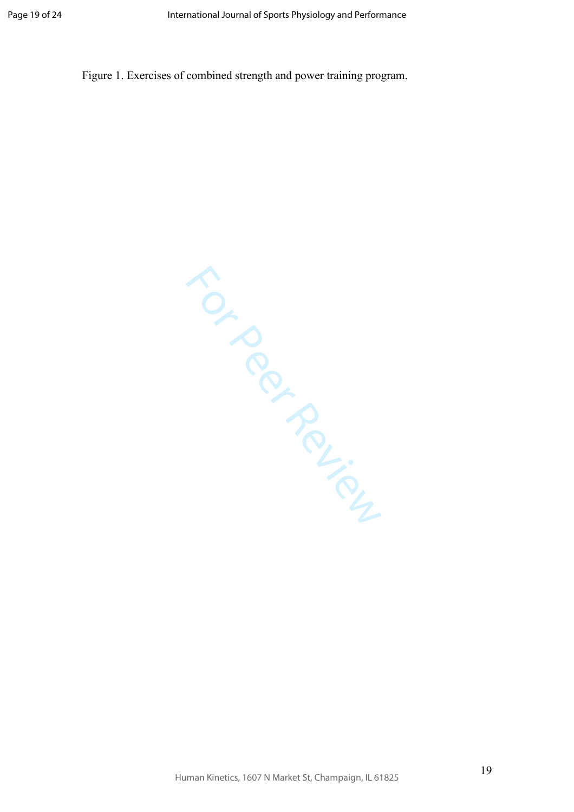Figure 1. Exercises of combined strength and power training program.

TON PROVISING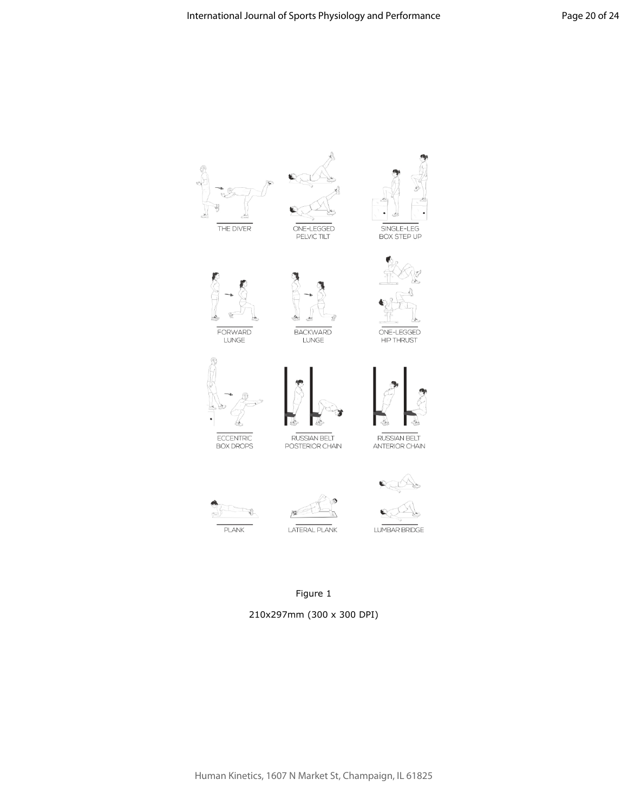

# Figure 1

210x297mm (300 x 300 DPI)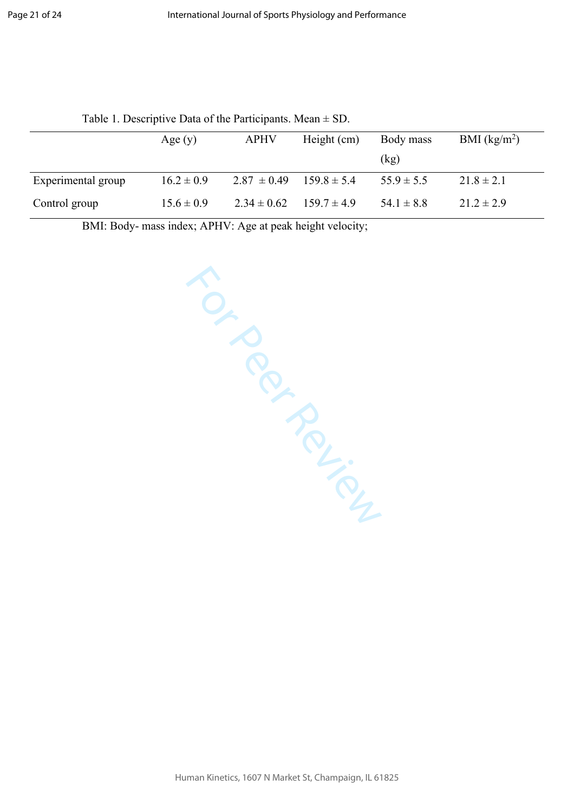|                    |                | $1.001$ $\bullet$ $1.000$ $\bullet$ $1.001$ $\bullet$ $1.000$ $\bullet$ $1.001$ $\bullet$ $1.001$ $\bullet$ $1.001$ $\bullet$ $1.001$ |                 |                |                |
|--------------------|----------------|---------------------------------------------------------------------------------------------------------------------------------------|-----------------|----------------|----------------|
|                    | Age $(y)$      | <b>APHV</b>                                                                                                                           | Height (cm)     | Body mass      | BMI $(kg/m2)$  |
|                    |                |                                                                                                                                       |                 | (kg)           |                |
| Experimental group | $16.2 \pm 0.9$ | $2.87 \pm 0.49$                                                                                                                       | $1598 \pm 54$   | $55.9 \pm 5.5$ | $21.8 \pm 2.1$ |
| Control group      | $15.6 \pm 0.9$ | $2.34 \pm 0.62$                                                                                                                       | $159.7 \pm 4.9$ | $54.1 \pm 8.8$ | $21.2 \pm 2.9$ |

Table 1. Descriptive Data of the Participants. Mean  $\pm$  SD.

BMI: Body- mass index; APHV: Age at peak height velocity;

TON PROPILLIPS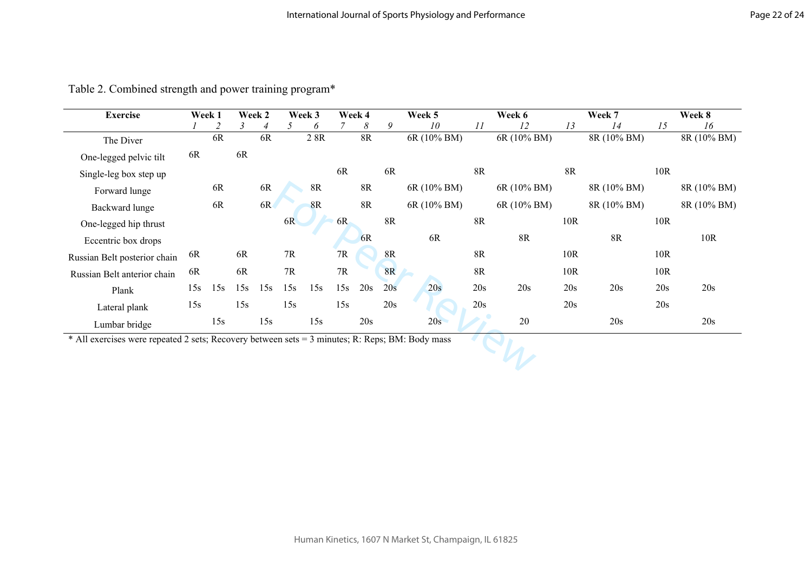| <b>Exercise</b>                                                                                 |     | Week 1 |     | Week 2 |     | Week 3 |     | Week 4    |           | Week 5      |               | Week 6      |     | Week 7      |     | Week 8      |
|-------------------------------------------------------------------------------------------------|-----|--------|-----|--------|-----|--------|-----|-----------|-----------|-------------|---------------|-------------|-----|-------------|-----|-------------|
|                                                                                                 |     |        |     |        |     | 6      |     | 8         | 9         | 10          | 11            | 12          | 13  | 14          | 15  | 16          |
| The Diver                                                                                       |     | 6R     |     | 6R     |     | 2 8R   |     | <b>8R</b> |           | 6R (10% BM) |               | 6R (10% BM) |     | 8R (10% BM) |     | 8R (10% BM) |
| One-legged pelvic tilt                                                                          | 6R  |        | 6R  |        |     |        |     |           |           |             |               |             |     |             |     |             |
| Single-leg box step up                                                                          |     |        |     |        |     |        | 6R  |           | 6R        |             | <b>8R</b>     |             | 8R  |             | 10R |             |
| Forward lunge                                                                                   |     | 6R     |     | 6R     |     | 8R     |     | <b>8R</b> |           | 6R (10% BM) |               | 6R (10% BM) |     | 8R (10% BM) |     | 8R (10% BM) |
| Backward lunge                                                                                  |     | 6R     |     | 6R     |     | 8R     |     | <b>8R</b> |           | 6R (10% BM) |               | 6R (10% BM) |     | 8R (10% BM) |     | 8R (10% BM) |
| One-legged hip thrust                                                                           |     |        |     |        | 6R  |        | 6R  |           | 8R        |             | <b>8R</b>     |             | 10R |             | 10R |             |
| Eccentric box drops                                                                             |     |        |     |        |     |        |     | 6R        |           | 6R          |               | <b>8R</b>   |     | <b>8R</b>   |     | 10R         |
| Russian Belt posterior chain                                                                    | 6R  |        | 6R  |        | 7R  |        | 7R  |           | 8R        |             | $8\mathrm{R}$ |             | 10R |             | 10R |             |
| Russian Belt anterior chain                                                                     | 6R  |        | 6R  |        | 7R  |        | 7R  |           | <b>8R</b> |             | 8R            |             | 10R |             | 10R |             |
| Plank                                                                                           | 15s | 15s    | 15s | 15s    | 15s | 15s    | 15s | 20s       | 20s       | 20s         | 20s           | 20s         | 20s | 20s         | 20s | 20s         |
| Lateral plank                                                                                   | 15s |        | 15s |        | 15s |        | 15s |           | 20s       |             | 20s           |             | 20s |             | 20s |             |
| Lumbar bridge                                                                                   |     | 15s    |     | 15s    |     | 15s    |     | 20s       |           | 20s         |               | 20          |     | 20s         |     | 20s         |
| * All exercises were repeated 2 sets; Recovery between sets = 3 minutes; R: Reps; BM: Body mass |     |        |     |        |     |        |     |           |           |             |               |             |     |             |     |             |
|                                                                                                 |     |        |     |        |     |        |     |           |           |             |               |             |     |             |     |             |
|                                                                                                 |     |        |     |        |     |        |     |           |           |             |               |             |     |             |     |             |

Table 2. Combined strength and power training program\*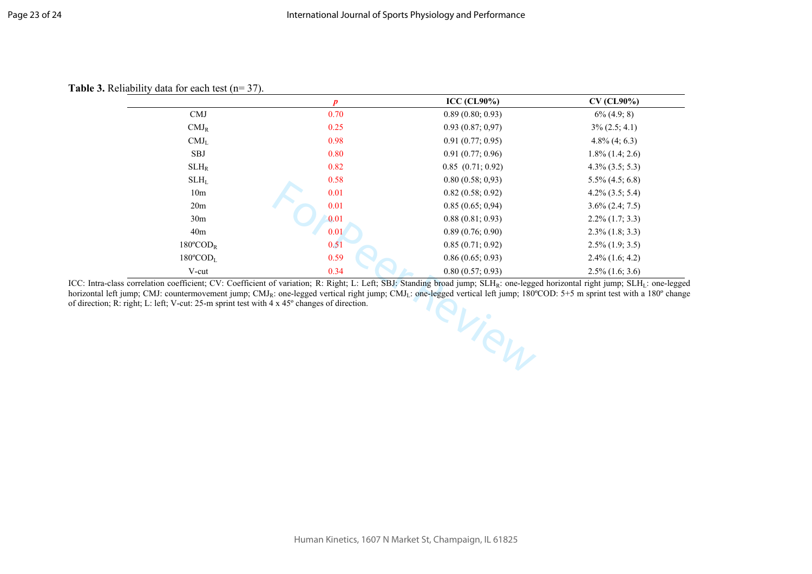#### Table 3. Reliability data for each test (n= 37).

|                                | $\boldsymbol{p}$ | ICC (CL90%)           | $CV$ (CL90%)         |
|--------------------------------|------------------|-----------------------|----------------------|
| <b>CMJ</b>                     | 0.70             | 0.89(0.80; 0.93)      | $6\%$ (4.9; 8)       |
| $CMJ_R$                        | 0.25             | 0.93(0.87; 0.97)      | $3\% (2.5; 4.1)$     |
| CMJ <sub>L</sub>               | 0.98             | 0.91(0.77; 0.95)      | $4.8\%$ $(4; 6.3)$   |
| SBJ                            | 0.80             | 0.91(0.77; 0.96)      | $1.8\%$ $(1.4; 2.6)$ |
| $SLH_R$                        | 0.82             | $0.85$ $(0.71; 0.92)$ | $4.3\%$ $(3.5; 5.3)$ |
| SLH <sub>L</sub>               | 0.58             | 0.80(0.58; 0.93)      | $5.5\%$ $(4.5; 6.8)$ |
| 10 <sub>m</sub>                | 0.01             | 0.82(0.58; 0.92)      | $4.2\%$ $(3.5; 5.4)$ |
| 20 <sub>m</sub>                | 0.01             | 0.85(0.65; 0.94)      | $3.6\%$ $(2.4; 7.5)$ |
| 30 <sub>m</sub>                | 0.01             | 0.88(0.81; 0.93)      | $2.2\%$ (1.7; 3.3)   |
| 40 <sub>m</sub>                | 0.01             | 0.89(0.76; 0.90)      | $2.3\%$ (1.8; 3.3)   |
| $180^{\circ}$ COD <sub>R</sub> | 0.51             | 0.85(0.71; 0.92)      | $2.5\%$ (1.9; 3.5)   |
| $180^{\circ}$ COD <sub>L</sub> | 0.59             | 0.86(0.65; 0.93)      | $2.4\%$ (1.6; 4.2)   |
| V-cut                          | 0.34             | 0.80(0.57; 0.93)      | $2.5\%$ (1.6; 3.6)   |

Seed vers. ICC: Intra-class correlation coefficient; CV: Coefficient of variation; R: Right; L: Left; SBJ: Standing broad jump; SLH<sub>R</sub>: one-legged horizontal right jump; SLH<sub>L</sub>: one-legged horizontal left jump; CMJ: countermovement jump; CMJ<sub>R</sub>: one-legged vertical right jump; CMJ<sub>L</sub>: one-legged vertical left jump; 180°COD: 5+5 m sprint test with a 180° change of direction; R: right; L: left; V-cut: 25-m sprint test with 4 x 45º changes of direction.